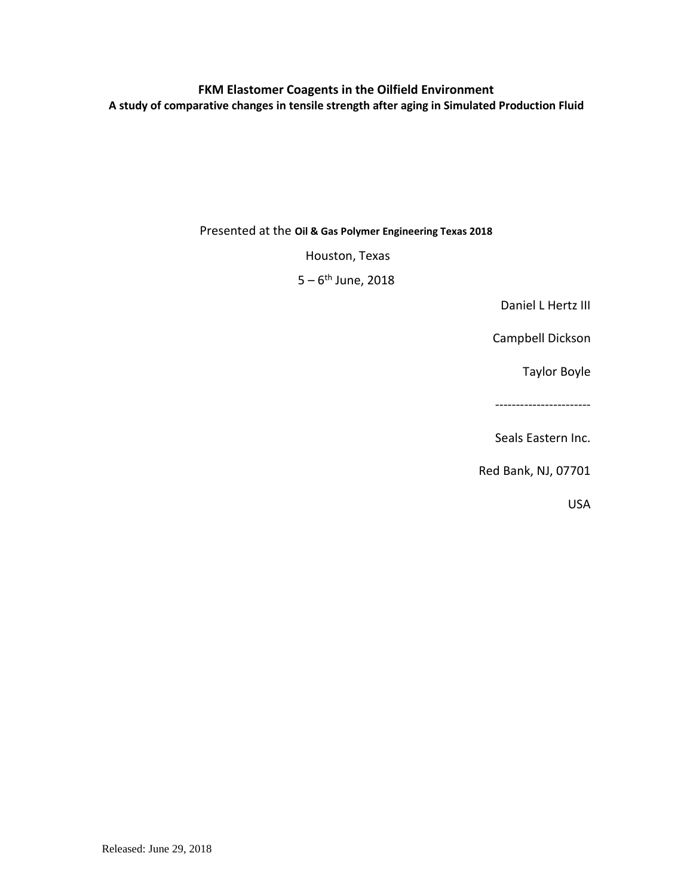## **FKM Elastomer Coagents in the Oilfield Environment A study of comparative changes in tensile strength after aging in Simulated Production Fluid**

Presented at the **Oil & Gas Polymer Engineering Texas 2018**

Houston, Texas

5 – 6<sup>th</sup> June, 2018

Daniel L Hertz III

Campbell Dickson

Taylor Boyle

-----------------------

Seals Eastern Inc.

Red Bank, NJ, 07701

USA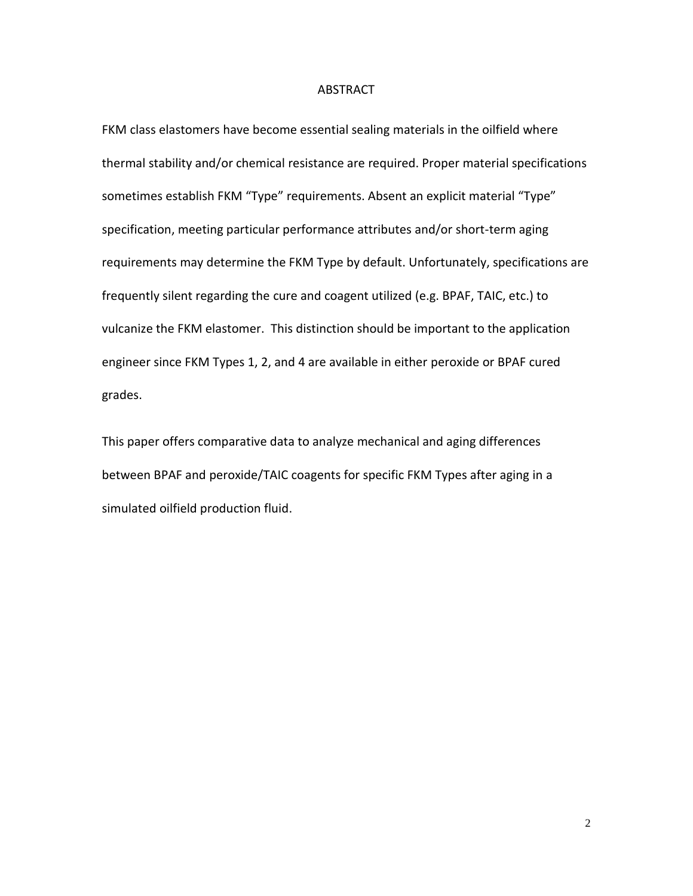#### ABSTRACT

FKM class elastomers have become essential sealing materials in the oilfield where thermal stability and/or chemical resistance are required. Proper material specifications sometimes establish FKM "Type" requirements. Absent an explicit material "Type" specification, meeting particular performance attributes and/or short-term aging requirements may determine the FKM Type by default. Unfortunately, specifications are frequently silent regarding the cure and coagent utilized (e.g. BPAF, TAIC, etc.) to vulcanize the FKM elastomer. This distinction should be important to the application engineer since FKM Types 1, 2, and 4 are available in either peroxide or BPAF cured grades.

This paper offers comparative data to analyze mechanical and aging differences between BPAF and peroxide/TAIC coagents for specific FKM Types after aging in a simulated oilfield production fluid.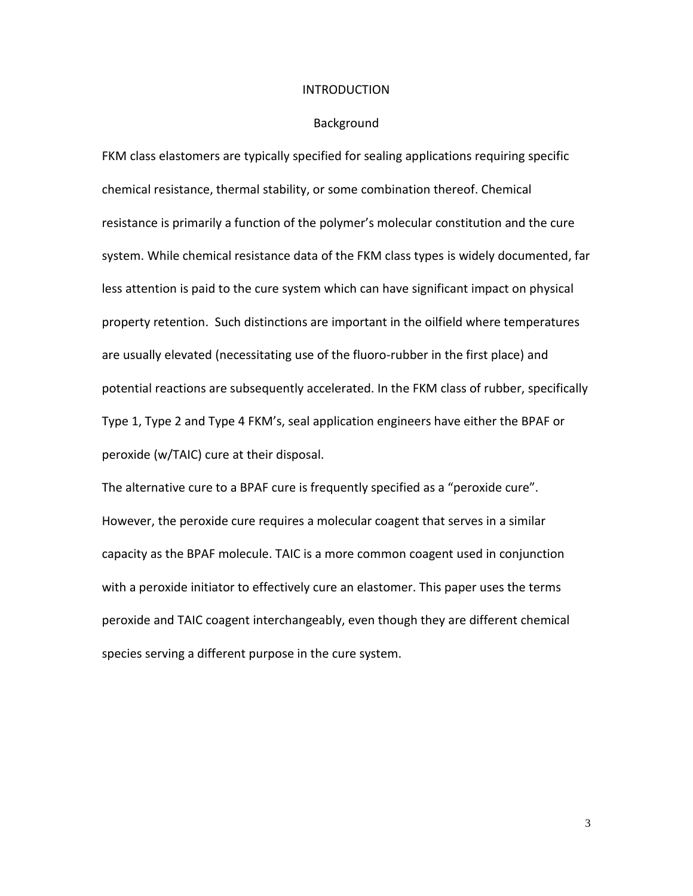#### INTRODUCTION

#### Background

FKM class elastomers are typically specified for sealing applications requiring specific chemical resistance, thermal stability, or some combination thereof. Chemical resistance is primarily a function of the polymer's molecular constitution and the cure system. While chemical resistance data of the FKM class types is widely documented, far less attention is paid to the cure system which can have significant impact on physical property retention. Such distinctions are important in the oilfield where temperatures are usually elevated (necessitating use of the fluoro-rubber in the first place) and potential reactions are subsequently accelerated. In the FKM class of rubber, specifically Type 1, Type 2 and Type 4 FKM's, seal application engineers have either the BPAF or peroxide (w/TAIC) cure at their disposal.

The alternative cure to a BPAF cure is frequently specified as a "peroxide cure". However, the peroxide cure requires a molecular coagent that serves in a similar capacity as the BPAF molecule. TAIC is a more common coagent used in conjunction with a peroxide initiator to effectively cure an elastomer. This paper uses the terms peroxide and TAIC coagent interchangeably, even though they are different chemical species serving a different purpose in the cure system.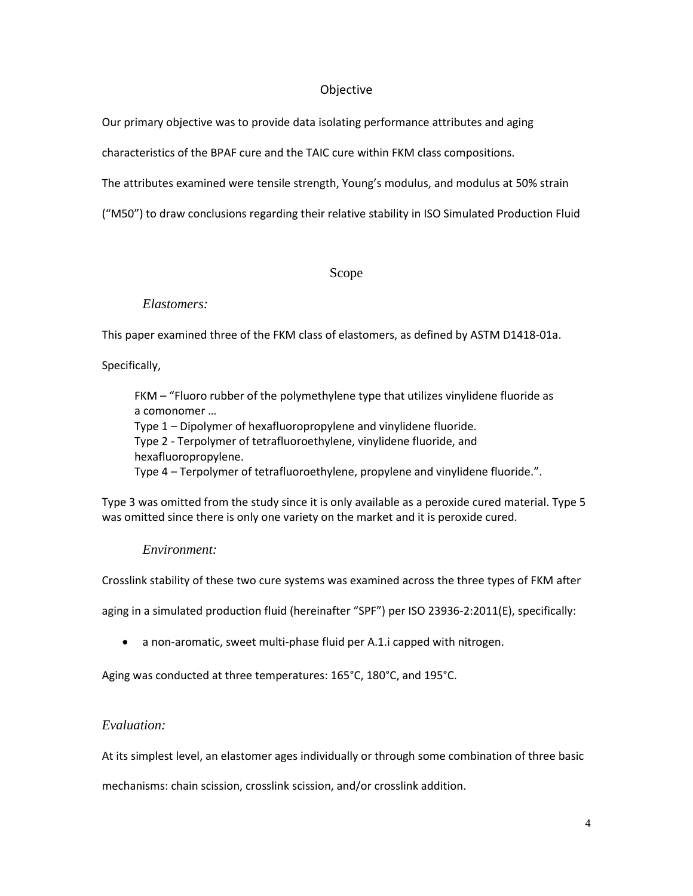## Objective

Our primary objective was to provide data isolating performance attributes and aging

characteristics of the BPAF cure and the TAIC cure within FKM class compositions.

The attributes examined were tensile strength, Young's modulus, and modulus at 50% strain

("M50") to draw conclusions regarding their relative stability in ISO Simulated Production Fluid

## Scope

## *Elastomers:*

This paper examined three of the FKM class of elastomers, as defined by ASTM D1418-01a.

Specifically,

FKM – "Fluoro rubber of the polymethylene type that utilizes vinylidene fluoride as a comonomer …

Type 1 – Dipolymer of hexafluoropropylene and vinylidene fluoride. Type 2 - Terpolymer of tetrafluoroethylene, vinylidene fluoride, and hexafluoropropylene.

Type 4 – Terpolymer of tetrafluoroethylene, propylene and vinylidene fluoride.".

Type 3 was omitted from the study since it is only available as a peroxide cured material. Type 5 was omitted since there is only one variety on the market and it is peroxide cured.

## *Environment:*

Crosslink stability of these two cure systems was examined across the three types of FKM after

aging in a simulated production fluid (hereinafter "SPF") per ISO 23936-2:2011(E), specifically:

• a non-aromatic, sweet multi-phase fluid per A.1.i capped with nitrogen.

Aging was conducted at three temperatures: 165°C, 180°C, and 195°C.

## *Evaluation:*

At its simplest level, an elastomer ages individually or through some combination of three basic

mechanisms: chain scission, crosslink scission, and/or crosslink addition.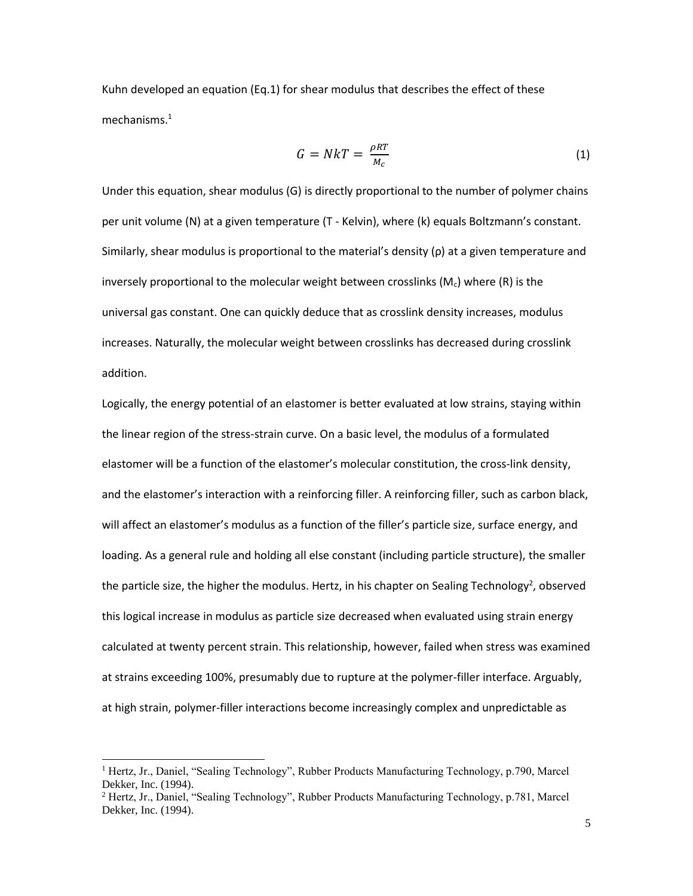Kuhn developed an equation (Eq.1) for shear modulus that describes the effect of these mechanisms.<sup>1</sup>

$$
G = NkT = \frac{\rho RT}{M_c} \tag{1}
$$

Under this equation, shear modulus (G) is directly proportional to the number of polymer chains per unit volume (N) at a given temperature (T - Kelvin), where (k) equals Boltzmann's constant. Similarly, shear modulus is proportional to the material's density (ρ) at a given temperature and inversely proportional to the molecular weight between crosslinks ( $M_c$ ) where (R) is the universal gas constant. One can quickly deduce that as crosslink density increases, modulus increases. Naturally, the molecular weight between crosslinks has decreased during crosslink addition.

Logically, the energy potential of an elastomer is better evaluated at low strains, staying within the linear region of the stress-strain curve. On a basic level, the modulus of a formulated elastomer will be a function of the elastomer's molecular constitution, the cross-link density, and the elastomer's interaction with a reinforcing filler. A reinforcing filler, such as carbon black, will affect an elastomer's modulus as a function of the filler's particle size, surface energy, and loading. As a general rule and holding all else constant (including particle structure), the smaller the particle size, the higher the modulus. Hertz, in his chapter on Sealing Technology<sup>2</sup>, observed this logical increase in modulus as particle size decreased when evaluated using strain energy calculated at twenty percent strain. This relationship, however, failed when stress was examined at strains exceeding 100%, presumably due to rupture at the polymer-filler interface. Arguably, at high strain, polymer-filler interactions become increasingly complex and unpredictable as

l

<sup>1</sup> Hertz, Jr., Daniel, "Sealing Technology", Rubber Products Manufacturing Technology, p.790, Marcel Dekker, Inc. (1994).

<sup>2</sup> Hertz, Jr., Daniel, "Sealing Technology", Rubber Products Manufacturing Technology, p.781, Marcel Dekker, Inc. (1994).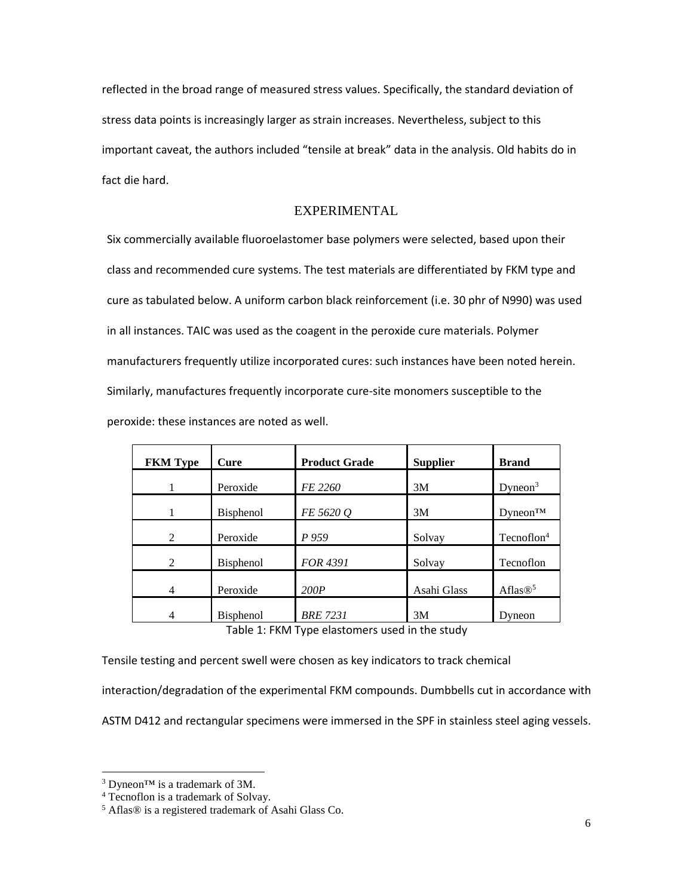reflected in the broad range of measured stress values. Specifically, the standard deviation of stress data points is increasingly larger as strain increases. Nevertheless, subject to this important caveat, the authors included "tensile at break" data in the analysis. Old habits do in fact die hard.

## EXPERIMENTAL

Six commercially available fluoroelastomer base polymers were selected, based upon their class and recommended cure systems. The test materials are differentiated by FKM type and cure as tabulated below. A uniform carbon black reinforcement (i.e. 30 phr of N990) was used in all instances. TAIC was used as the coagent in the peroxide cure materials. Polymer manufacturers frequently utilize incorporated cures: such instances have been noted herein. Similarly, manufactures frequently incorporate cure-site monomers susceptible to the peroxide: these instances are noted as well.

| <b>FKM</b> Type | Cure             | <b>Product Grade</b> | <b>Supplier</b> | <b>Brand</b>            |
|-----------------|------------------|----------------------|-----------------|-------------------------|
|                 | Peroxide         | FE 2260              | 3M              | Dyneon <sup>3</sup>     |
|                 | <b>Bisphenol</b> | FE 5620 Q            | 3M              | $D$ yneon <sup>TM</sup> |
| $\mathfrak{D}$  | Peroxide         | P 959                | Solvay          | Teconoflon <sup>4</sup> |
| $\mathfrak{D}$  | <b>Bisphenol</b> | FOR 4391             | Solvay          | Tecnoflon               |
| 4               | Peroxide         | 200P                 | Asahi Glass     | Aflas $\mathbb{B}^5$    |
| 4               | <b>Bisphenol</b> | <b>BRE 7231</b>      | 3M              | Dyneon                  |

Table 1: FKM Type elastomers used in the study

Tensile testing and percent swell were chosen as key indicators to track chemical

interaction/degradation of the experimental FKM compounds. Dumbbells cut in accordance with

ASTM D412 and rectangular specimens were immersed in the SPF in stainless steel aging vessels.

 $\overline{a}$ 

<sup>3</sup> Dyneon™ is a trademark of 3M.

<sup>4</sup> Tecnoflon is a trademark of Solvay.

<sup>5</sup> Aflas® is a registered trademark of Asahi Glass Co.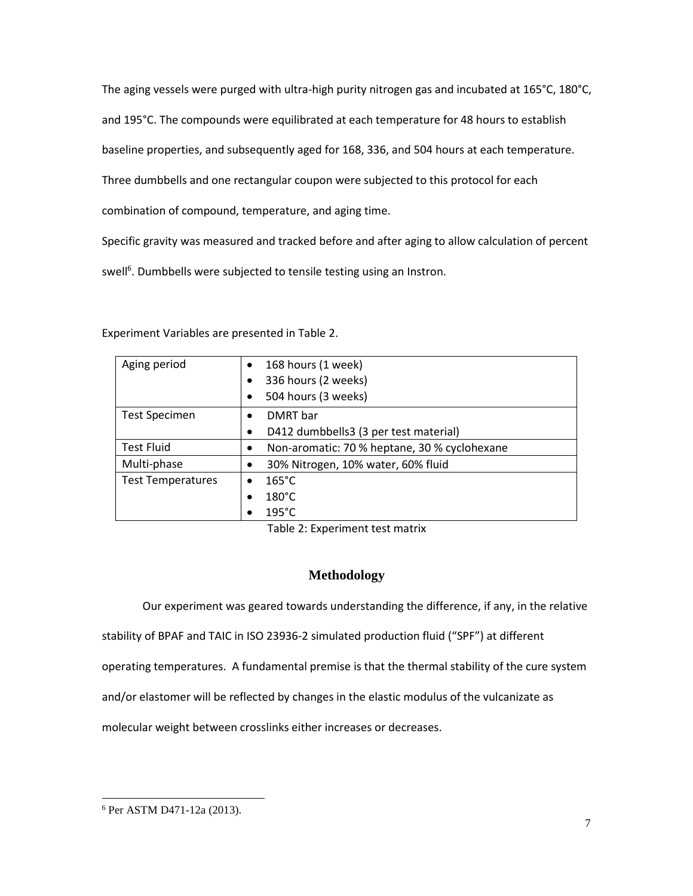The aging vessels were purged with ultra-high purity nitrogen gas and incubated at 165°C, 180°C, and 195°C. The compounds were equilibrated at each temperature for 48 hours to establish baseline properties, and subsequently aged for 168, 336, and 504 hours at each temperature. Three dumbbells and one rectangular coupon were subjected to this protocol for each combination of compound, temperature, and aging time.

Specific gravity was measured and tracked before and after aging to allow calculation of percent

swell<sup>6</sup>. Dumbbells were subjected to tensile testing using an Instron.

| Aging period             | $\bullet$ | 168 hours (1 week)                           |
|--------------------------|-----------|----------------------------------------------|
|                          | ٠         | 336 hours (2 weeks)                          |
|                          | ٠         | 504 hours (3 weeks)                          |
| <b>Test Specimen</b>     | ٠         | DMRT bar                                     |
|                          | $\bullet$ | D412 dumbbells3 (3 per test material)        |
| <b>Test Fluid</b>        | ٠         | Non-aromatic: 70 % heptane, 30 % cyclohexane |
| Multi-phase              |           | 30% Nitrogen, 10% water, 60% fluid           |
| <b>Test Temperatures</b> |           | $165^{\circ}$ C                              |
|                          |           | $180^{\circ}$ C                              |
|                          |           | $195^{\circ}$ C                              |

Experiment Variables are presented in Table 2.

Table 2: Experiment test matrix

## **Methodology**

Our experiment was geared towards understanding the difference, if any, in the relative stability of BPAF and TAIC in ISO 23936-2 simulated production fluid ("SPF") at different operating temperatures. A fundamental premise is that the thermal stability of the cure system and/or elastomer will be reflected by changes in the elastic modulus of the vulcanizate as molecular weight between crosslinks either increases or decreases.

 $\overline{\phantom{a}}$ 

<sup>6</sup> Per ASTM D471-12a (2013).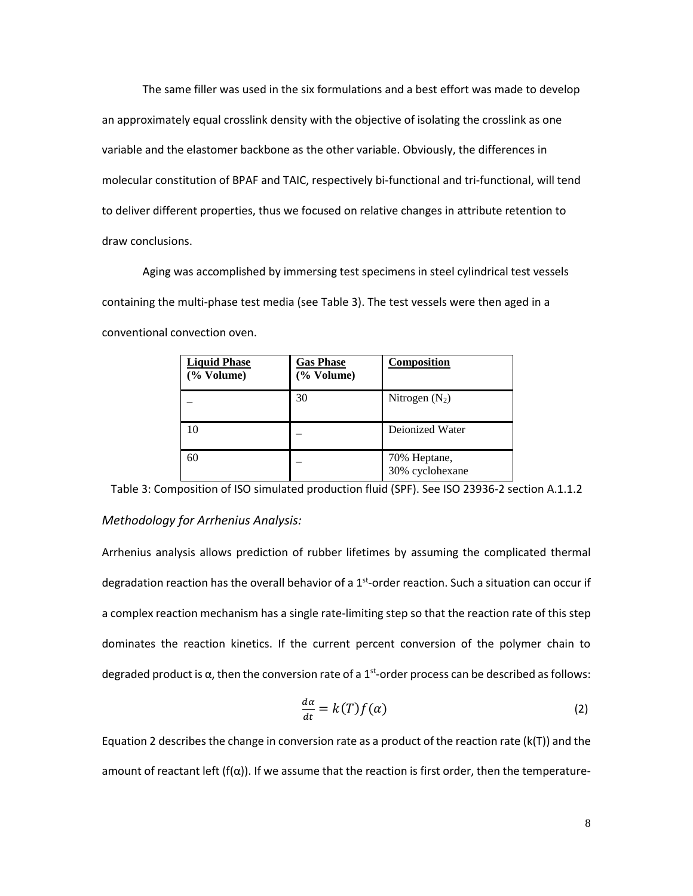The same filler was used in the six formulations and a best effort was made to develop an approximately equal crosslink density with the objective of isolating the crosslink as one variable and the elastomer backbone as the other variable. Obviously, the differences in molecular constitution of BPAF and TAIC, respectively bi-functional and tri-functional, will tend to deliver different properties, thus we focused on relative changes in attribute retention to draw conclusions.

Aging was accomplished by immersing test specimens in steel cylindrical test vessels containing the multi-phase test media (see Table 3). The test vessels were then aged in a conventional convection oven.

| <b>Liquid Phase</b><br>$(\%$ Volume) | <b>Gas Phase</b><br>(% Volume) | Composition                     |
|--------------------------------------|--------------------------------|---------------------------------|
|                                      | 30                             | Nitrogen $(N_2)$                |
|                                      |                                | Deionized Water                 |
| 60                                   |                                | 70% Heptane,<br>30% cyclohexane |

Table 3: Composition of ISO simulated production fluid (SPF). See ISO 23936-2 section A.1.1.2

#### *Methodology for Arrhenius Analysis:*

Arrhenius analysis allows prediction of rubber lifetimes by assuming the complicated thermal degradation reaction has the overall behavior of a 1<sup>st</sup>-order reaction. Such a situation can occur if a complex reaction mechanism has a single rate-limiting step so that the reaction rate of this step dominates the reaction kinetics. If the current percent conversion of the polymer chain to degraded product is  $\alpha$ , then the conversion rate of a 1<sup>st</sup>-order process can be described as follows:

$$
\frac{d\alpha}{dt} = k(T)f(\alpha) \tag{2}
$$

Equation 2 describes the change in conversion rate as a product of the reaction rate  $(k(T))$  and the amount of reactant left (f( $\alpha$ )). If we assume that the reaction is first order, then the temperature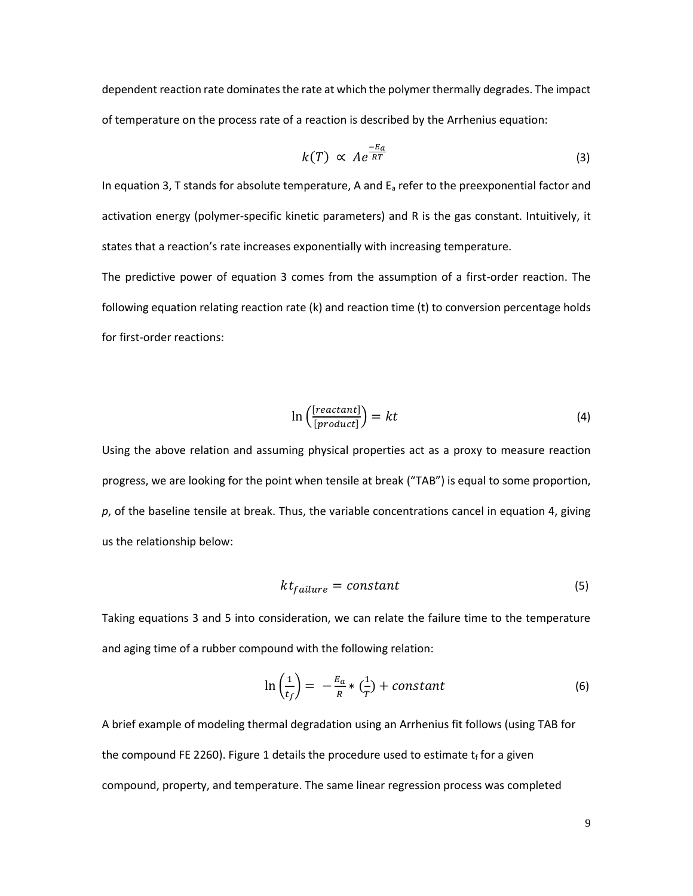dependent reaction rate dominates the rate at which the polymer thermally degrades. The impact of temperature on the process rate of a reaction is described by the Arrhenius equation:

$$
k(T) \propto A e^{\frac{-E_a}{RT}} \tag{3}
$$

In equation 3, T stands for absolute temperature, A and  $E_a$  refer to the preexponential factor and activation energy (polymer-specific kinetic parameters) and R is the gas constant. Intuitively, it states that a reaction's rate increases exponentially with increasing temperature.

The predictive power of equation 3 comes from the assumption of a first-order reaction. The following equation relating reaction rate (k) and reaction time (t) to conversion percentage holds for first-order reactions:

$$
\ln\left(\frac{[reactant]}{[product]}\right) = kt \tag{4}
$$

Using the above relation and assuming physical properties act as a proxy to measure reaction progress, we are looking for the point when tensile at break ("TAB") is equal to some proportion, *p*, of the baseline tensile at break. Thus, the variable concentrations cancel in equation 4, giving us the relationship below:

$$
kt_{failure} = constant \tag{5}
$$

Taking equations 3 and 5 into consideration, we can relate the failure time to the temperature and aging time of a rubber compound with the following relation:

$$
\ln\left(\frac{1}{t_f}\right) = -\frac{E_a}{R} * \left(\frac{1}{T}\right) + constant \tag{6}
$$

A brief example of modeling thermal degradation using an Arrhenius fit follows (using TAB for the compound FE 2260). Figure 1 details the procedure used to estimate  $t_f$  for a given compound, property, and temperature. The same linear regression process was completed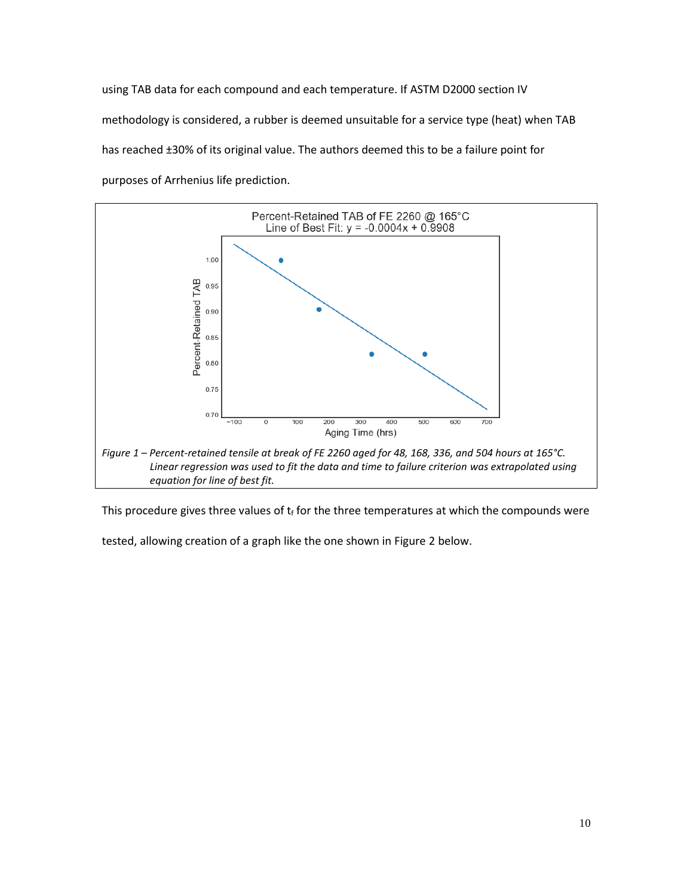using TAB data for each compound and each temperature. If ASTM D2000 section IV methodology is considered, a rubber is deemed unsuitable for a service type (heat) when TAB has reached ±30% of its original value. The authors deemed this to be a failure point for purposes of Arrhenius life prediction.



This procedure gives three values of  $t_f$  for the three temperatures at which the compounds were

tested, allowing creation of a graph like the one shown in Figure 2 below.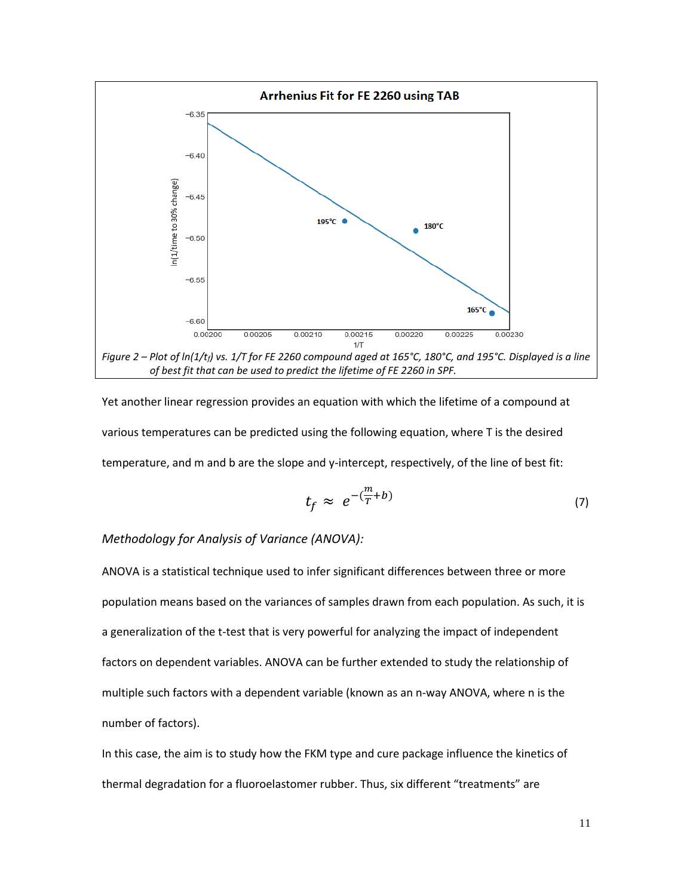

Yet another linear regression provides an equation with which the lifetime of a compound at various temperatures can be predicted using the following equation, where T is the desired temperature, and m and b are the slope and y-intercept, respectively, of the line of best fit:

$$
t_f \approx e^{-(\frac{m}{T} + b)} \tag{7}
$$

#### *Methodology for Analysis of Variance (ANOVA):*

ANOVA is a statistical technique used to infer significant differences between three or more population means based on the variances of samples drawn from each population. As such, it is a generalization of the t-test that is very powerful for analyzing the impact of independent factors on dependent variables. ANOVA can be further extended to study the relationship of multiple such factors with a dependent variable (known as an n-way ANOVA, where n is the number of factors).

In this case, the aim is to study how the FKM type and cure package influence the kinetics of thermal degradation for a fluoroelastomer rubber. Thus, six different "treatments" are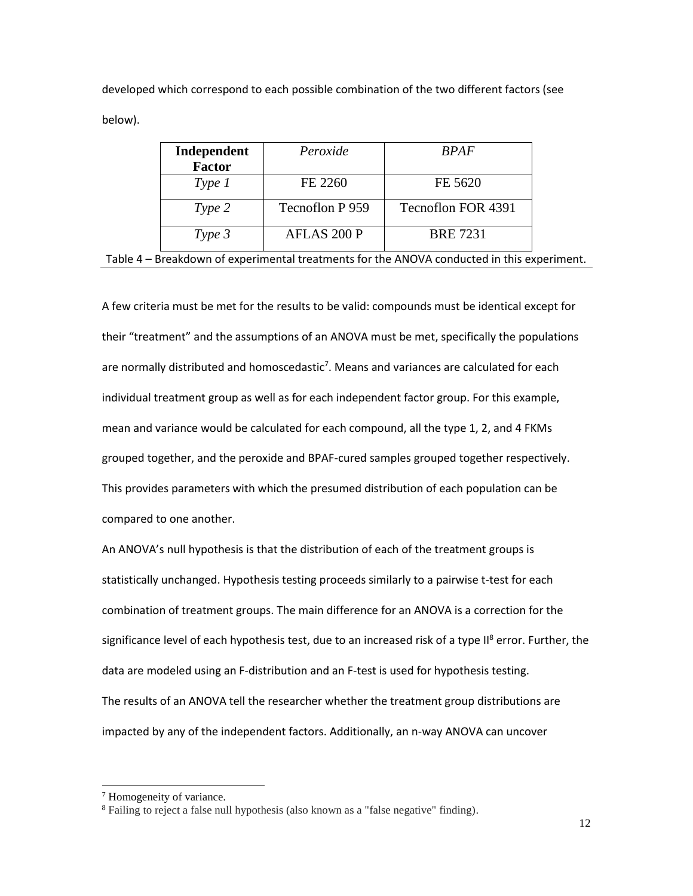developed which correspond to each possible combination of the two different factors (see below).

| Independent   | Peroxide        | <b>RPAF</b>        |  |
|---------------|-----------------|--------------------|--|
| <b>Factor</b> |                 |                    |  |
| Type 1        | FE 2260         | FE 5620            |  |
| Type 2        | Tecnoflon P 959 | Tecnoflon FOR 4391 |  |
| $Type\,3$     | AFLAS 200 P     | <b>BRE 7231</b>    |  |

Table 4 – Breakdown of experimental treatments for the ANOVA conducted in this experiment.

A few criteria must be met for the results to be valid: compounds must be identical except for their "treatment" and the assumptions of an ANOVA must be met, specifically the populations are normally distributed and homoscedastic<sup>7</sup>. Means and variances are calculated for each individual treatment group as well as for each independent factor group. For this example, mean and variance would be calculated for each compound, all the type 1, 2, and 4 FKMs grouped together, and the peroxide and BPAF-cured samples grouped together respectively. This provides parameters with which the presumed distribution of each population can be compared to one another.

An ANOVA's null hypothesis is that the distribution of each of the treatment groups is statistically unchanged. Hypothesis testing proceeds similarly to a pairwise t-test for each combination of treatment groups. The main difference for an ANOVA is a correction for the significance level of each hypothesis test, due to an increased risk of a type II<sup>8</sup> error. Further, the data are modeled using an F-distribution and an F-test is used for hypothesis testing. The results of an ANOVA tell the researcher whether the treatment group distributions are impacted by any of the independent factors. Additionally, an n-way ANOVA can uncover

 $\overline{\phantom{a}}$ 

<sup>7</sup> Homogeneity of variance.

<sup>&</sup>lt;sup>8</sup> Failing to reject a false null hypothesis (also known as a "false negative" finding).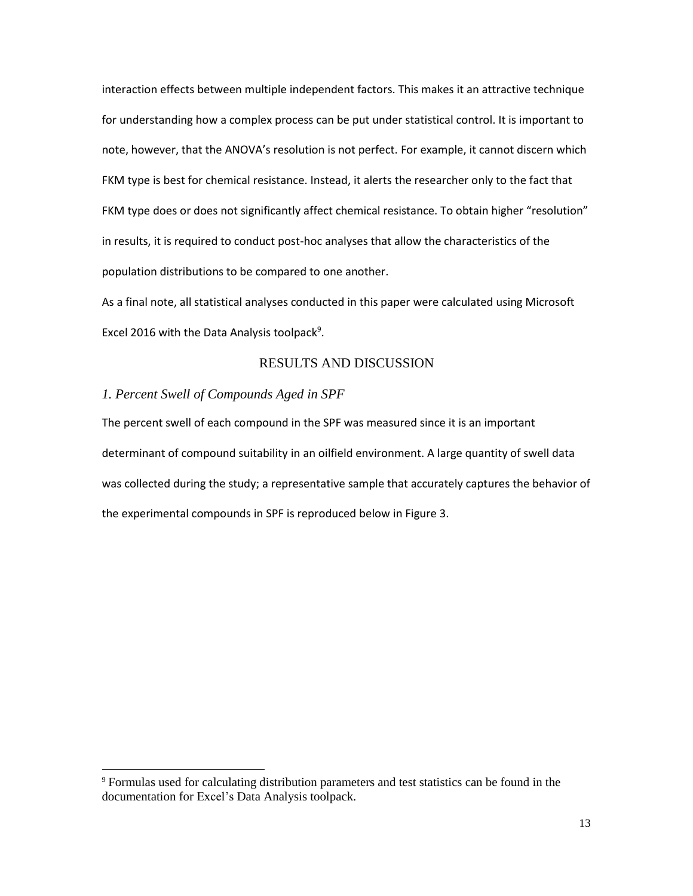interaction effects between multiple independent factors. This makes it an attractive technique for understanding how a complex process can be put under statistical control. It is important to note, however, that the ANOVA's resolution is not perfect. For example, it cannot discern which FKM type is best for chemical resistance. Instead, it alerts the researcher only to the fact that FKM type does or does not significantly affect chemical resistance. To obtain higher "resolution" in results, it is required to conduct post-hoc analyses that allow the characteristics of the population distributions to be compared to one another.

As a final note, all statistical analyses conducted in this paper were calculated using Microsoft Excel 2016 with the Data Analysis toolpack<sup>9</sup>.

## RESULTS AND DISCUSSION

## *1. Percent Swell of Compounds Aged in SPF*

 $\overline{a}$ 

The percent swell of each compound in the SPF was measured since it is an important determinant of compound suitability in an oilfield environment. A large quantity of swell data was collected during the study; a representative sample that accurately captures the behavior of the experimental compounds in SPF is reproduced below in Figure 3.

<sup>9</sup> Formulas used for calculating distribution parameters and test statistics can be found in the documentation for Excel's Data Analysis toolpack.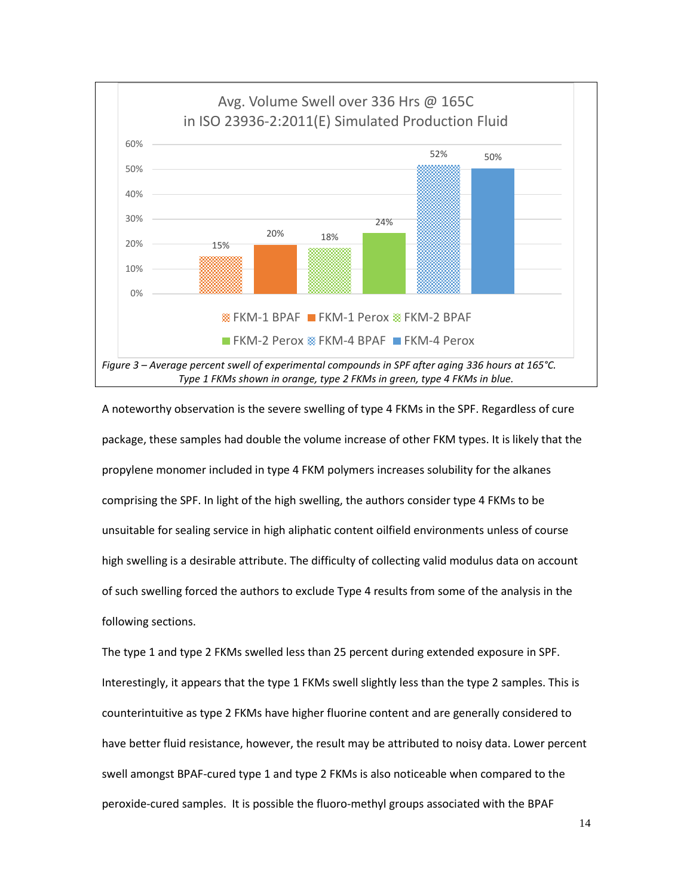

A noteworthy observation is the severe swelling of type 4 FKMs in the SPF. Regardless of cure package, these samples had double the volume increase of other FKM types. It is likely that the propylene monomer included in type 4 FKM polymers increases solubility for the alkanes comprising the SPF. In light of the high swelling, the authors consider type 4 FKMs to be unsuitable for sealing service in high aliphatic content oilfield environments unless of course high swelling is a desirable attribute. The difficulty of collecting valid modulus data on account of such swelling forced the authors to exclude Type 4 results from some of the analysis in the following sections.

The type 1 and type 2 FKMs swelled less than 25 percent during extended exposure in SPF. Interestingly, it appears that the type 1 FKMs swell slightly less than the type 2 samples. This is counterintuitive as type 2 FKMs have higher fluorine content and are generally considered to have better fluid resistance, however, the result may be attributed to noisy data. Lower percent swell amongst BPAF-cured type 1 and type 2 FKMs is also noticeable when compared to the peroxide-cured samples. It is possible the fluoro-methyl groups associated with the BPAF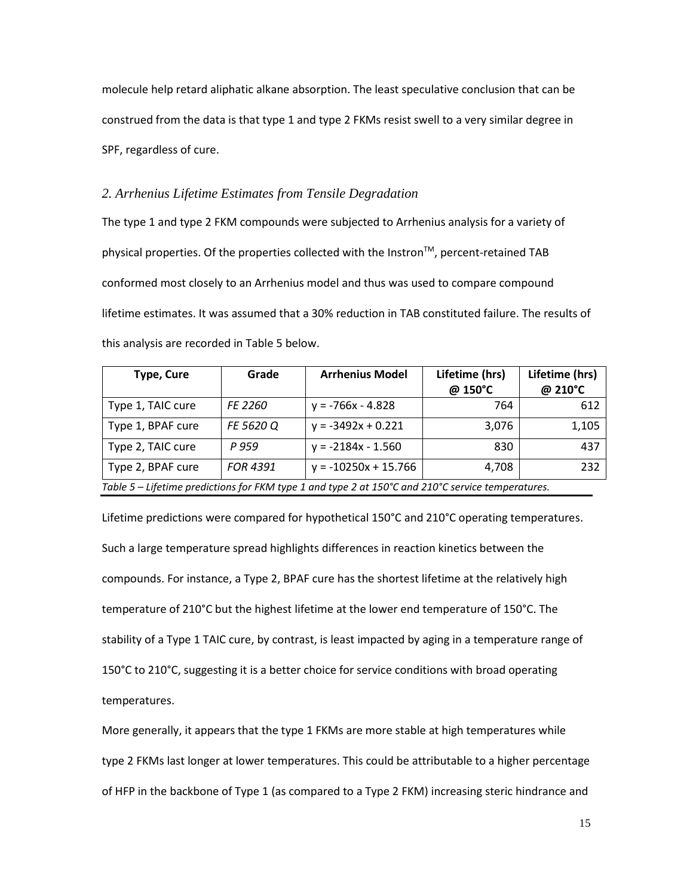molecule help retard aliphatic alkane absorption. The least speculative conclusion that can be construed from the data is that type 1 and type 2 FKMs resist swell to a very similar degree in SPF, regardless of cure.

#### *2. Arrhenius Lifetime Estimates from Tensile Degradation*

The type 1 and type 2 FKM compounds were subjected to Arrhenius analysis for a variety of physical properties. Of the properties collected with the Instron™, percent-retained TAB conformed most closely to an Arrhenius model and thus was used to compare compound lifetime estimates. It was assumed that a 30% reduction in TAB constituted failure. The results of this analysis are recorded in Table 5 below.

| <b>Type, Cure</b>                                                                                 | Grade           | <b>Arrhenius Model</b> | Lifetime (hrs) | Lifetime (hrs) |  |  |  |
|---------------------------------------------------------------------------------------------------|-----------------|------------------------|----------------|----------------|--|--|--|
|                                                                                                   |                 |                        | @ 150°C        | @ 210°C        |  |  |  |
| Type 1, TAIC cure                                                                                 | FE 2260         | $y = -766x - 4.828$    | 764            | 612            |  |  |  |
| Type 1, BPAF cure                                                                                 | FE 5620 Q       | $y = -3492x + 0.221$   | 3,076          | 1,105          |  |  |  |
| Type 2, TAIC cure                                                                                 | P 959           | $y = -2184x - 1.560$   | 830            | 437            |  |  |  |
| Type 2, BPAF cure                                                                                 | <b>FOR 4391</b> | $y = -10250x + 15.766$ | 4,708          | 232            |  |  |  |
| Table 5 – Lifetime predictions for FKM type 1 and type 2 at 150°C and 210°C service temperatures. |                 |                        |                |                |  |  |  |

Lifetime predictions were compared for hypothetical 150°C and 210°C operating temperatures. Such a large temperature spread highlights differences in reaction kinetics between the compounds. For instance, a Type 2, BPAF cure has the shortest lifetime at the relatively high temperature of 210°C but the highest lifetime at the lower end temperature of 150°C. The stability of a Type 1 TAIC cure, by contrast, is least impacted by aging in a temperature range of 150°C to 210°C, suggesting it is a better choice for service conditions with broad operating temperatures.

More generally, it appears that the type 1 FKMs are more stable at high temperatures while type 2 FKMs last longer at lower temperatures. This could be attributable to a higher percentage of HFP in the backbone of Type 1 (as compared to a Type 2 FKM) increasing steric hindrance and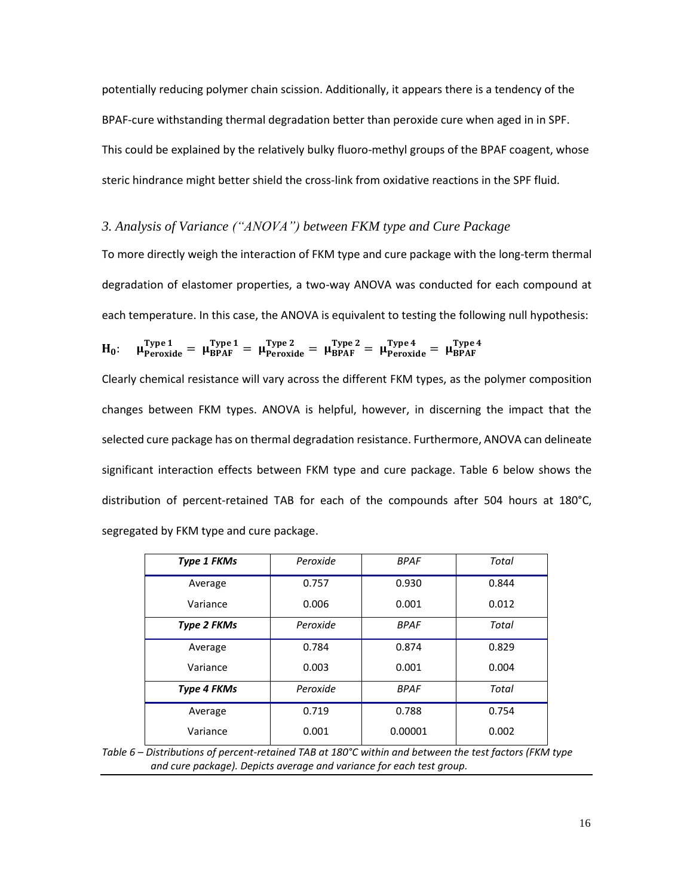potentially reducing polymer chain scission. Additionally, it appears there is a tendency of the BPAF-cure withstanding thermal degradation better than peroxide cure when aged in in SPF. This could be explained by the relatively bulky fluoro-methyl groups of the BPAF coagent, whose steric hindrance might better shield the cross-link from oxidative reactions in the SPF fluid.

### *3. Analysis of Variance ("ANOVA") between FKM type and Cure Package*

To more directly weigh the interaction of FKM type and cure package with the long-term thermal degradation of elastomer properties, a two-way ANOVA was conducted for each compound at each temperature. In this case, the ANOVA is equivalent to testing the following null hypothesis:

$$
H_0: \quad \mu_{Peroxide}^{Type\,1} \,=\, \mu_{BPAF}^{Type\,1} \,=\, \mu_{Peroxide}^{Type\,2} \,=\, \mu_{BPAF}^{Type\,2} \,=\, \mu_{Peroxide}^{Type\,4} \,=\, \mu_{BPAF}^{Type\,4}
$$

Clearly chemical resistance will vary across the different FKM types, as the polymer composition changes between FKM types. ANOVA is helpful, however, in discerning the impact that the selected cure package has on thermal degradation resistance. Furthermore, ANOVA can delineate significant interaction effects between FKM type and cure package. Table 6 below shows the distribution of percent-retained TAB for each of the compounds after 504 hours at 180°C, segregated by FKM type and cure package.

| <b>Type 1 FKMs</b> | Peroxide | <b>BPAF</b> | Total |  |
|--------------------|----------|-------------|-------|--|
| Average            | 0.757    | 0.930       | 0.844 |  |
| Variance           | 0.006    | 0.001       | 0.012 |  |
| <b>Type 2 FKMs</b> | Peroxide | <b>BPAF</b> | Total |  |
| Average            | 0.784    | 0.874       | 0.829 |  |
| Variance           | 0.003    | 0.001       | 0.004 |  |
| Type 4 FKMs        | Peroxide | <b>BPAF</b> | Total |  |
| Average            | 0.719    | 0.788       | 0.754 |  |
| Variance           | 0.001    | 0.00001     | 0.002 |  |

*Table 6 – Distributions of percent-retained TAB at 180°C within and between the test factors (FKM type and cure package). Depicts average and variance for each test group.*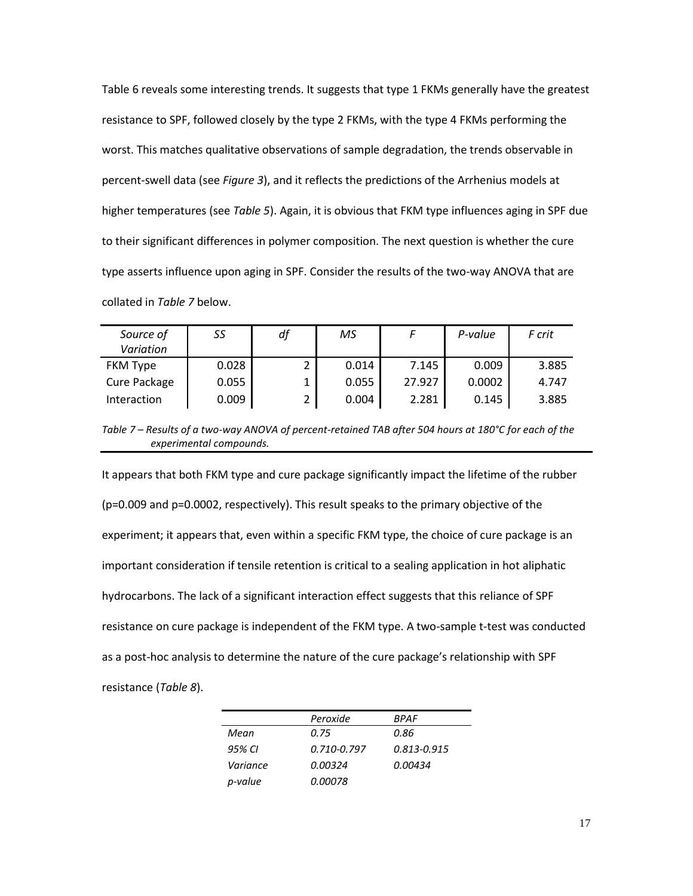Table 6 reveals some interesting trends. It suggests that type 1 FKMs generally have the greatest resistance to SPF, followed closely by the type 2 FKMs, with the type 4 FKMs performing the worst. This matches qualitative observations of sample degradation, the trends observable in percent-swell data (see *Figure 3*), and it reflects the predictions of the Arrhenius models at higher temperatures (see *Table 5*). Again, it is obvious that FKM type influences aging in SPF due to their significant differences in polymer composition. The next question is whether the cure type asserts influence upon aging in SPF. Consider the results of the two-way ANOVA that are collated in *Table 7* below.

| Source of<br>Variation | SS    | df | МS    |        | P-value | F crit |
|------------------------|-------|----|-------|--------|---------|--------|
| <b>FKM Type</b>        | 0.028 |    | 0.014 | 7.145  | 0.009   | 3.885  |
| Cure Package           | 0.055 |    | 0.055 | 27.927 | 0.0002  | 4.747  |
| Interaction            | 0.009 |    | 0.004 | 2.281  | 0.145   | 3.885  |

*Table 7 – Results of a two-way ANOVA of percent-retained TAB after 504 hours at 180°C for each of the experimental compounds.*

It appears that both FKM type and cure package significantly impact the lifetime of the rubber (p=0.009 and p=0.0002, respectively). This result speaks to the primary objective of the experiment; it appears that, even within a specific FKM type, the choice of cure package is an important consideration if tensile retention is critical to a sealing application in hot aliphatic hydrocarbons. The lack of a significant interaction effect suggests that this reliance of SPF resistance on cure package is independent of the FKM type. A two-sample t-test was conducted as a post-hoc analysis to determine the nature of the cure package's relationship with SPF resistance (*Table 8*).

|          | Peroxide       | BPAF            |
|----------|----------------|-----------------|
| Mean     | 0.75           | 0.86            |
| 95% CI   | 0.710-0.797    | $0.813 - 0.915$ |
| Variance | <i>0.00324</i> | 0.00434         |
| p-value  | 0.00078        |                 |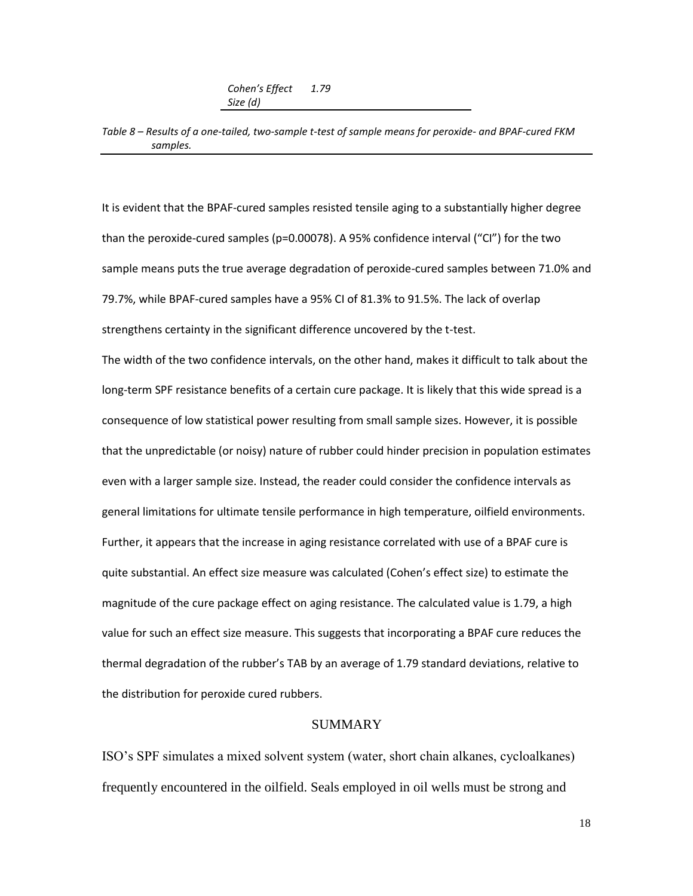*Cohen's Effect Size (d) 1.79*

*Table 8 – Results of a one-tailed, two-sample t-test of sample means for peroxide- and BPAF-cured FKM samples.*

It is evident that the BPAF-cured samples resisted tensile aging to a substantially higher degree than the peroxide-cured samples (p=0.00078). A 95% confidence interval ("CI") for the two sample means puts the true average degradation of peroxide-cured samples between 71.0% and 79.7%, while BPAF-cured samples have a 95% CI of 81.3% to 91.5%. The lack of overlap strengthens certainty in the significant difference uncovered by the t-test.

The width of the two confidence intervals, on the other hand, makes it difficult to talk about the long-term SPF resistance benefits of a certain cure package. It is likely that this wide spread is a consequence of low statistical power resulting from small sample sizes. However, it is possible that the unpredictable (or noisy) nature of rubber could hinder precision in population estimates even with a larger sample size. Instead, the reader could consider the confidence intervals as general limitations for ultimate tensile performance in high temperature, oilfield environments. Further, it appears that the increase in aging resistance correlated with use of a BPAF cure is quite substantial. An effect size measure was calculated (Cohen's effect size) to estimate the magnitude of the cure package effect on aging resistance. The calculated value is 1.79, a high value for such an effect size measure. This suggests that incorporating a BPAF cure reduces the thermal degradation of the rubber's TAB by an average of 1.79 standard deviations, relative to the distribution for peroxide cured rubbers.

### SUMMARY

ISO's SPF simulates a mixed solvent system (water, short chain alkanes, cycloalkanes) frequently encountered in the oilfield. Seals employed in oil wells must be strong and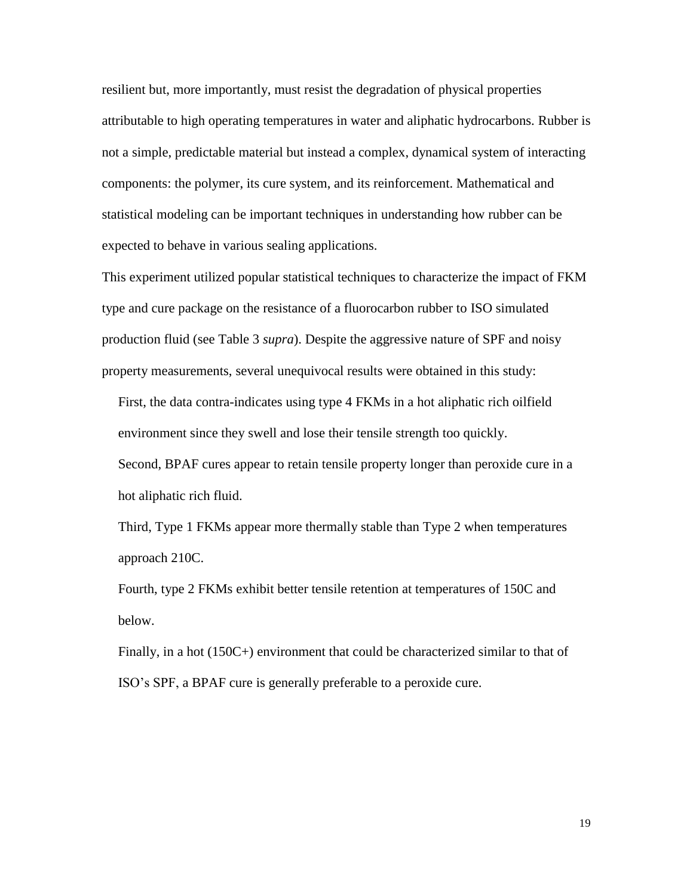resilient but, more importantly, must resist the degradation of physical properties attributable to high operating temperatures in water and aliphatic hydrocarbons. Rubber is not a simple, predictable material but instead a complex, dynamical system of interacting components: the polymer, its cure system, and its reinforcement. Mathematical and statistical modeling can be important techniques in understanding how rubber can be expected to behave in various sealing applications.

This experiment utilized popular statistical techniques to characterize the impact of FKM type and cure package on the resistance of a fluorocarbon rubber to ISO simulated production fluid (see Table 3 *supra*). Despite the aggressive nature of SPF and noisy property measurements, several unequivocal results were obtained in this study:

First, the data contra-indicates using type 4 FKMs in a hot aliphatic rich oilfield environment since they swell and lose their tensile strength too quickly.

Second, BPAF cures appear to retain tensile property longer than peroxide cure in a hot aliphatic rich fluid.

Third, Type 1 FKMs appear more thermally stable than Type 2 when temperatures approach 210C.

Fourth, type 2 FKMs exhibit better tensile retention at temperatures of 150C and below.

Finally, in a hot (150C+) environment that could be characterized similar to that of ISO's SPF, a BPAF cure is generally preferable to a peroxide cure.